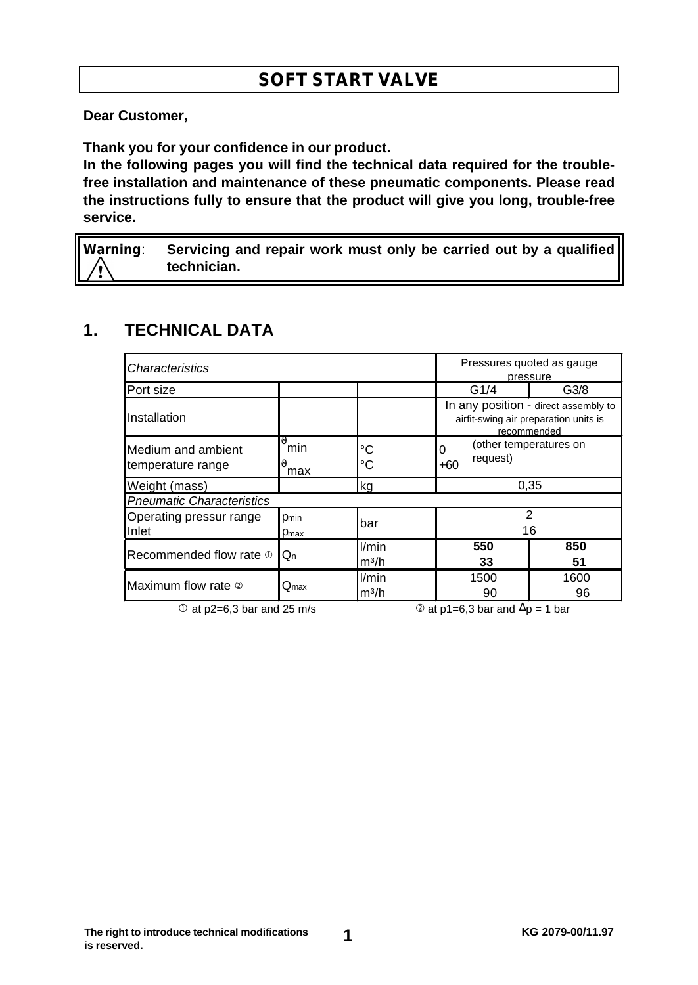# **SOFT START VALVE**

**Dear Customer,**

**Thank you for your confidence in our product.**

**In the following pages you will find the technical data required for the troublefree installation and maintenance of these pneumatic components. Please read the instructions fully to ensure that the product will give you long, trouble-free service.**

**Warning**: **Servicing and repair work must only be carried out by a qualified technician.**

#### **1. TECHNICAL DATA**

| Characteristics                                  |                              |                            | Pressures quoted as gauge<br>pressure                                                        |            |  |
|--------------------------------------------------|------------------------------|----------------------------|----------------------------------------------------------------------------------------------|------------|--|
| Port size                                        |                              |                            | G <sub>3/8</sub><br>G1/4                                                                     |            |  |
| Installation                                     |                              |                            | In any position - direct assembly to<br>airfit-swing air preparation units is<br>recommended |            |  |
| <b>I</b> Medium and ambient<br>temperature range | 1 <sup>9</sup><br>min<br>max | °C<br>°C                   | (other temperatures on<br>request)<br>$+60$                                                  |            |  |
| Weight (mass)                                    |                              | kg                         | 0.35                                                                                         |            |  |
| <b>Pneumatic Characteristics</b>                 |                              |                            |                                                                                              |            |  |
| Operating pressur range<br>Inlet                 | Dmin<br>Pmax                 | bar                        | $\mathcal{P}$<br>16                                                                          |            |  |
| Recommended flow rate $\mathbb O$                | lQn                          | l/min<br>m <sup>3</sup> /h | 550<br>33                                                                                    | 850<br>51  |  |
| Maximum flow rate 2                              | $\mathsf{Q}_{\textsf{max}}$  | l/min<br>m <sup>3</sup> /h | 1500<br>90                                                                                   | 1600<br>96 |  |

 $\degree$  at p2=6,3 bar and 25 m/s  $\degree$  at p1=6,3 bar and  $\triangle$ p = 1 bar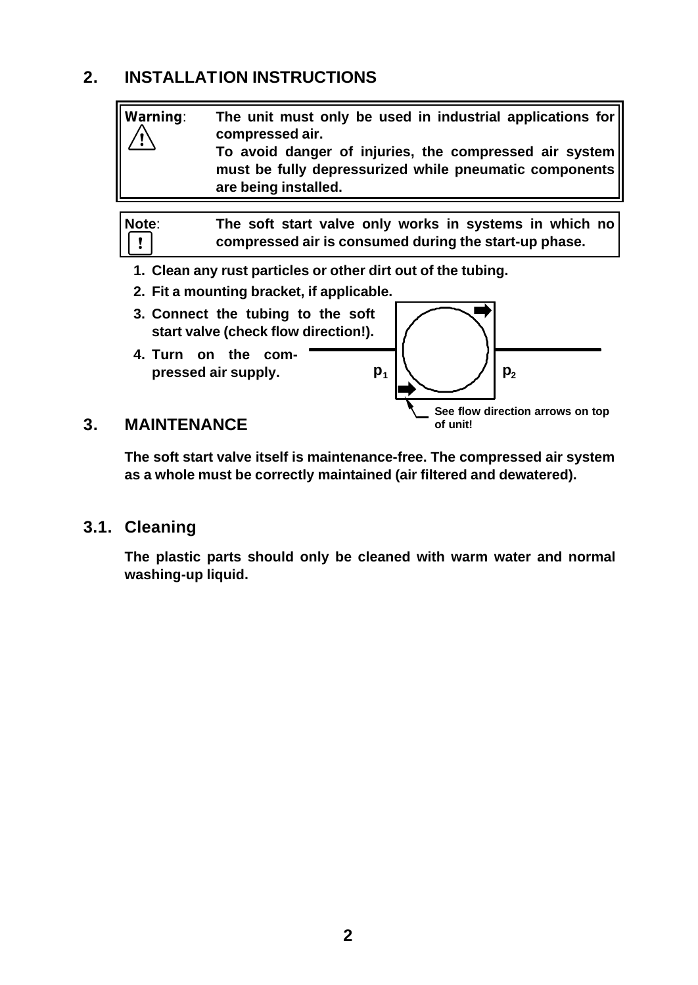## **2. INSTALLATION INSTRUCTIONS**



**The soft start valve itself is maintenance-free. The compressed air system as a whole must be correctly maintained (air filtered and dewatered).**

#### **3.1. Cleaning**

**The plastic parts should only be cleaned with warm water and normal washing-up liquid.**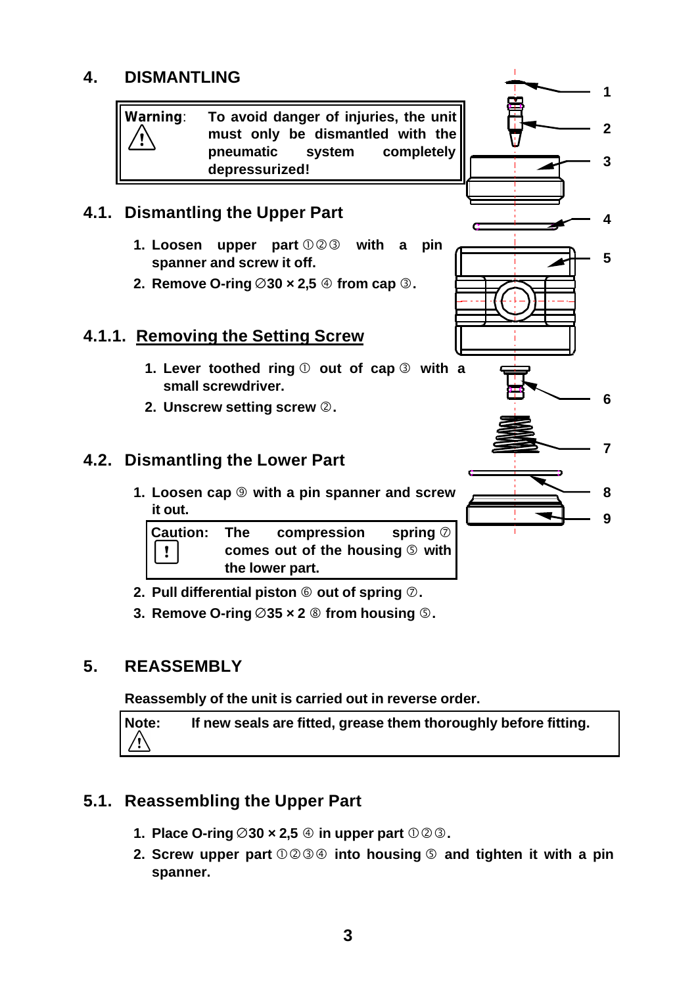## **4. DISMANTLING**

**Warning**: **To avoid danger of injuries, the unit must only be dismantled with the pneumatic system completely depressurized!**

## **4.1. Dismantling the Upper Part**

- **1.** Loosen upper part  $\mathbb{O} \otimes \mathbb{S}$  with a pin **spanner and screw it off.**
- **2. Remove O-ring**  $\varnothing$  **30**  $\times$  **2,5**  $\oplus$  from cap  $\oplus$ .

#### **4.1.1. Removing the Setting Screw**

- **1.** Lever toothed ring  $\textcircled{}$  out of cap  $\textcircled{}$  with a **small screwdriver.**
- **2. Unscrew setting screw** Ç**.**

#### **4.2. Dismantling the Lower Part**

**1. Loosen cap** â **with a pin spanner and screw it out.**

| Caution: The<br>$\Box$ | compression spring $\oslash$                 |  |  |
|------------------------|----------------------------------------------|--|--|
|                        | comes out of the housing $\circledcirc$ with |  |  |
|                        | the lower part.                              |  |  |

- **2.** Pull differential piston  $\textcircled{}$  out of spring  $\textcircled{}$ .
- **3.** Remove O-ring  $\emptyset$ 35  $\times$  2  $\circledast$  from housing  $\circledcirc$ .

#### **5. REASSEMBLY**

**Reassembly of the unit is carried out in reverse order.**

**Note: If new seals are fitted, grease them thoroughly before fitting.** ⁄ı

#### **5.1. Reassembling the Upper Part**

- **1.** Place O-ring  $\emptyset$ 30 x 2,5  $\oplus$  in upper part  $\emptyset$  2 $\otimes$ .
- **2. Screw upper part**  $\mathbb{O} \otimes \mathbb{Q} \oplus \mathbb{Q}$  into housing  $\mathbb{Q}$  and tighten it with a pin **spanner.**

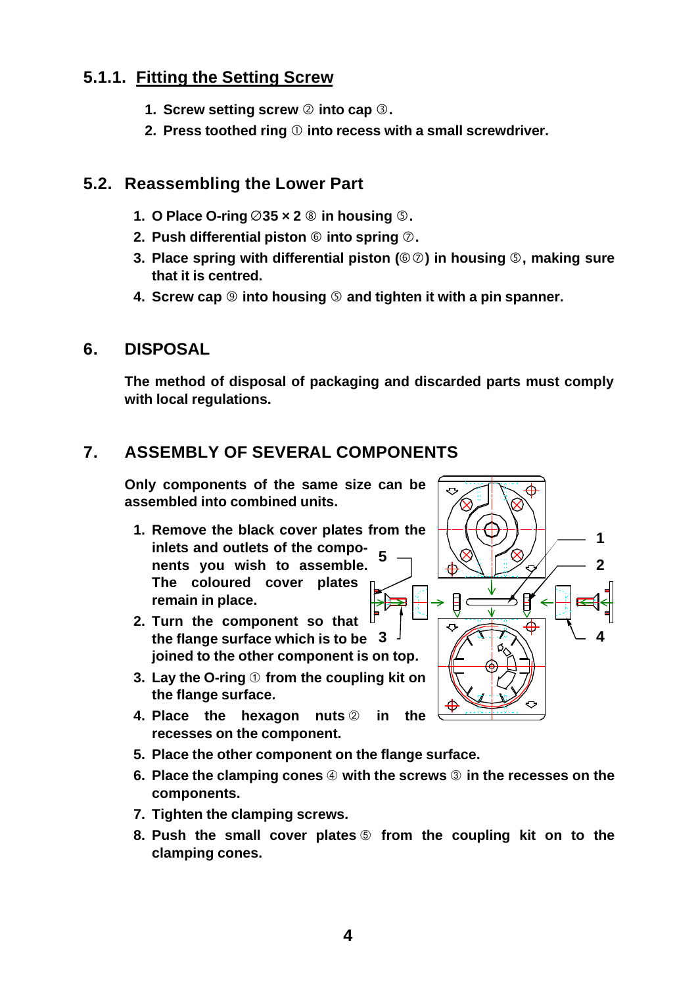## **5.1.1. Fitting the Setting Screw**

- **1. Screw setting screw**  $\oslash$  into cap  $\oslash$ .
- **2. Press toothed ring** Å **into recess with a small screwdriver.**

#### **5.2. Reassembling the Lower Part**

- **1. O Place O-ring**  $\emptyset$ 35  $\times$  **2**  $\circledcirc$  in housing  $\circledcirc$ .
- **2.** Push differential piston  $\circledcirc$  into spring  $\circledcirc$ .
- **3. Place spring with differential piston (**Üá**) in housing** Ö**, making sure that it is centred.**
- **4. Screw cap** â **into housing** Ö **and tighten it with a pin spanner.**

#### **6. DISPOSAL**

**The method of disposal of packaging and discarded parts must comply with local regulations.**

## **7. ASSEMBLY OF SEVERAL COMPONENTS**

**Only components of the same size can be assembled into combined units.**

- **1. Remove the black cover plates from the inlets and outlets of the components you wish to assemble. The coloured cover plates remain in place. 5**
- **2. Turn the component so that the flange surface which is to be joined to the other component is on top.**
- **3. Lay the O-ring** ¿ **from the coupling kit on the flange surface.**
- **4. Place the hexagon nuts** 2 in the **recesses on the component.**
- **5. Place the other component on the flange surface.**
- **6.** Place the clamping cones  $\oplus$  with the screws  $\circledcirc$  in the recesses on the **components.**
- **7. Tighten the clamping screws.**
- **8. Push the small cover plates** ƒ **from the coupling kit on to the clamping cones.**